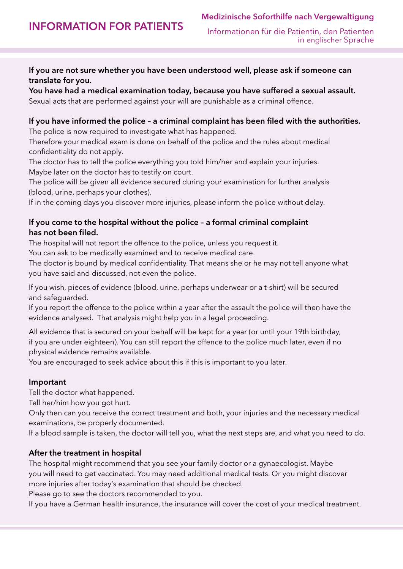Information for patients

Medizinische Soforthilfe nach Vergewaltigung

# If you are not sure whether you have been understood well, please ask if someone can translate for you.

You have had a medical examination today, because you have suffered a sexual assault. Sexual acts that are performed against your will are punishable as a criminal offence.

# If you have informed the police – a criminal complaint has been filed with the authorities.

The police is now required to investigate what has happened.

Therefore your medical exam is done on behalf of the police and the rules about medical confidentiality do not apply.

The doctor has to tell the police everything you told him/her and explain your injuries. Maybe later on the doctor has to testify on court.

The police will be given all evidence secured during your examination for further analysis (blood, urine, perhaps your clothes).

If in the coming days you discover more injuries, please inform the police without delay.

## If you come to the hospital without the police – a formal criminal complaint has not been filed.

The hospital will not report the offence to the police, unless you request it.

You can ask to be medically examined and to receive medical care.

The doctor is bound by medical confidentiality. That means she or he may not tell anyone what you have said and discussed, not even the police.

If you wish, pieces of evidence (blood, urine, perhaps underwear or a t-shirt) will be secured and safeguarded.

If you report the offence to the police within a year after the assault the police will then have the evidence analysed. That analysis might help you in a legal proceeding.

All evidence that is secured on your behalf will be kept for a year (or until your 19th birthday, if you are under eighteen). You can still report the offence to the police much later, even if no physical evidence remains available.

You are encouraged to seek advice about this if this is important to you later.

## Important

Tell the doctor what happened.

Tell her/him how you got hurt.

Only then can you receive the correct treatment and both, your injuries and the necessary medical examinations, be properly documented.

If a blood sample is taken, the doctor will tell you, what the next steps are, and what you need to do.

## After the treatment in hospital

The hospital might recommend that you see your family doctor or a gynaecologist. Maybe you will need to get vaccinated. You may need additional medical tests. Or you might discover more injuries after today's examination that should be checked.

Please go to see the doctors recommended to you.

If you have a German health insurance, the insurance will cover the cost of your medical treatment.